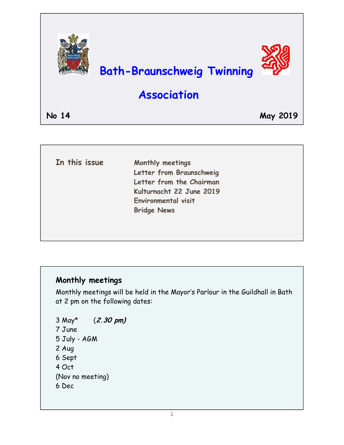

| In this issue | Monthly meetings<br>Letter from Braunschweig |
|---------------|----------------------------------------------|
|               | Letter from the Chairman                     |
|               | Kulturnacht 22 June 2019                     |
|               |                                              |
|               | Environmental visit                          |
|               | <b>Bridge News</b>                           |

# **Monthly meetings**

Monthly meetings will be held in the Mayor's Parlour in the Guildhall in Bath at 2 pm on the following dates:

```
3 May* (2.30 pm) 
7 June 
5 July - AGM 
2 Aug 
6 Sept 
4 Oct 
(Nov no meeting) 
6 Dec
```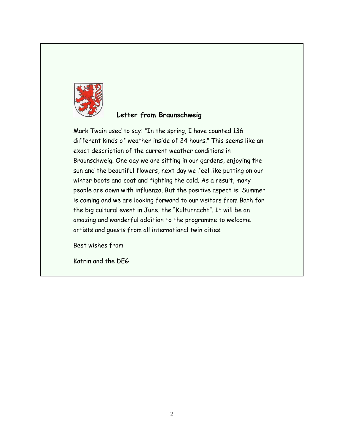

### **Letter from Braunschweig**

Mark Twain used to say: "In the spring, I have counted 136 different kinds of weather inside of 24 hours." This seems like an exact description of the current weather conditions in Braunschweig. One day we are sitting in our gardens, enjoying the sun and the beautiful flowers, next day we feel like putting on our winter boots and coat and fighting the cold. As a result, many people are down with influenza. But the positive aspect is: Summer is coming and we are looking forward to our visitors from Bath for the big cultural event in June, the "Kulturnacht". It will be an amazing and wonderful addition to the programme to welcome artists and guests from all international twin cities.

Best wishes from

Katrin and the DEG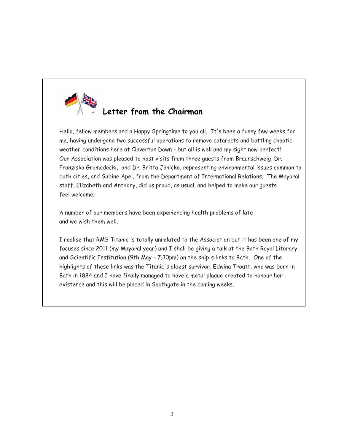

Hello, fellow members and a Happy Springtime to you all. It's been a funny few weeks for me, having undergone two successful operations to remove cataracts and battling chaotic weather conditions here at Claverton Down - but all is well and my sight now perfect! Our Association was pleased to host visits from three guests from Braunschweig, Dr. Franziska Gromadecki, and Dr. Britta Jänicke, representing environmental issues common to both cities, and Sabine Apel, from the Department of International Relations. The Mayoral staff, Elizabeth and Anthony, did us proud, as usual, and helped to make our guests feel welcome.

A number of our members have been experiencing health problems of late and we wish them well.

I realise that RMS Titanic is totally unrelated to the Association but it has been one of my focuses since 2011 (my Mayoral year) and I shall be giving a talk at the Bath Royal Literary and Scientific Institution (9th May - 7.30pm) on the ship's links to Bath. One of the highlights of these links was the Titanic's oldest survivor, Edwina Troutt, who was born in Bath in 1884 and I have finally managed to have a metal plaque created to honour her existence and this will be placed in Southgate in the coming weeks.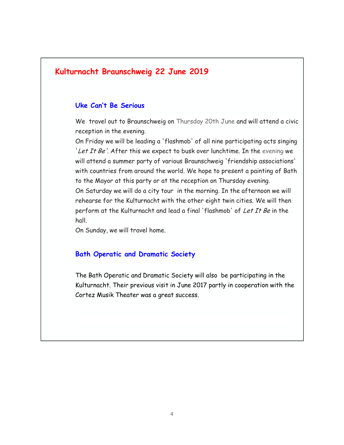# **Kulturnacht Braunschweig 22 June 2019**

#### **Uke Can't Be Serious**

We travel out to Braunschweig on Thursday 20th June and will attend a civic reception in the evening.

On Friday we will be leading a 'flashmob' of all nine participating acts singing 'Let It Be'. After this we expect to busk over lunchtime. In the evening we will attend a summer party of various Braunschweig 'friendship associations' with countries from around the world. We hope to present a painting of Bath to the Mayor at this party or at the reception on Thursday evening. On Saturday we will do a city tour in the morning. In the afternoon we will rehearse for the Kulturnacht with the other eight twin cities. We will then perform at the Kulturnacht and lead a final 'flashmob' of Let It Be in the hall.

On Sunday, we will travel home.

#### **Bath Operatic and Dramatic Society**

The Bath Operatic and Dramatic Society will also be participating in the Kulturnacht. Their previous visit in June 2017 partly in cooperation with the Cortez Musik Theater was a great success.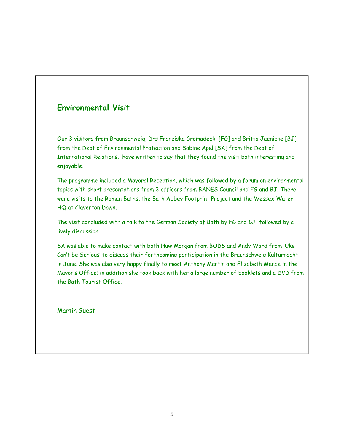### **Environmental Visit**

Our 3 visitors from Braunschweig, Drs Franziska Gromadecki [FG] and Britta Jaenicke [BJ] from the Dept of Environmental Protection and Sabine Apel [SA] from the Dept of International Relations, have written to say that they found the visit both interesting and enjoyable.

The programme included a Mayoral Reception, which was followed by a forum on environmental topics with short presentations from 3 officers from BANES Council and FG and BJ. There were visits to the Roman Baths, the Bath Abbey Footprint Project and the Wessex Water HQ at Claverton Down.

The visit concluded with a talk to the German Society of Bath by FG and BJ followed by a lively discussion.

SA was able to make contact with both Huw Morgan from BODS and Andy Ward from 'Uke Can't be Serious' to discuss their forthcoming participation in the Braunschweig Kulturnacht in June. She was also very happy finally to meet Anthony Martin and Elizabeth Mence in the Mayor's Office; in addition she took back with her a large number of booklets and a DVD from the Bath Tourist Office.

Martin Guest